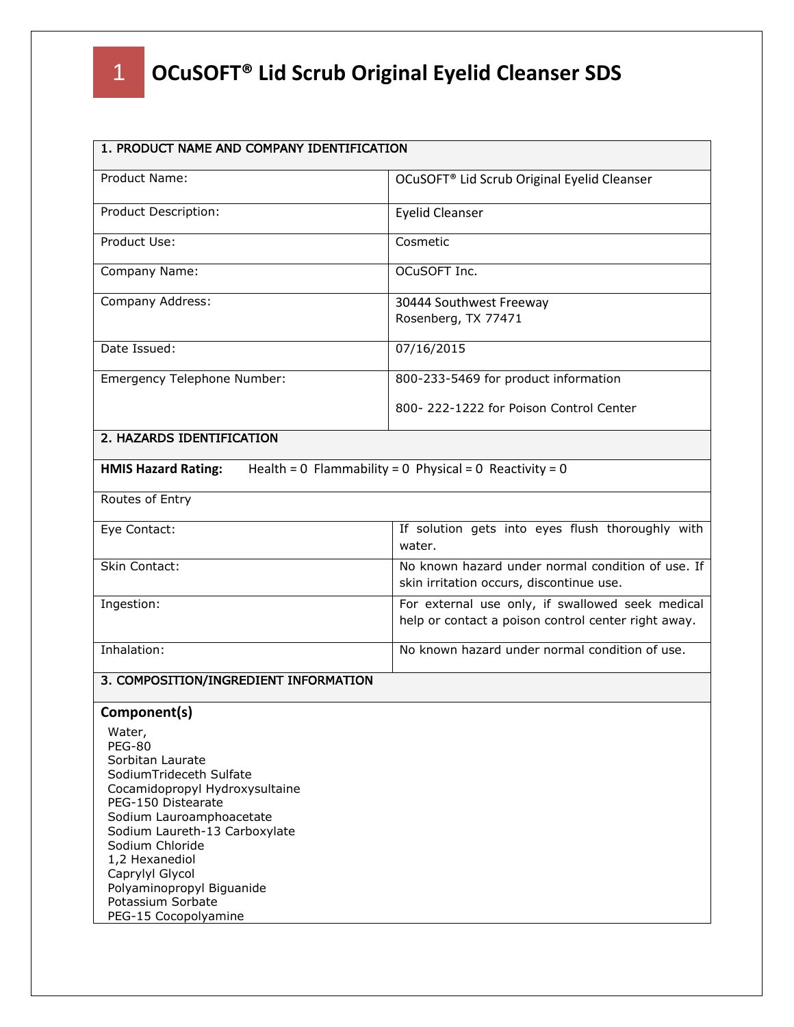| 1. PRODUCT NAME AND COMPANY IDENTIFICATION                                                                                                                                                                                                                                                                                                    |                                                                                                         |  |
|-----------------------------------------------------------------------------------------------------------------------------------------------------------------------------------------------------------------------------------------------------------------------------------------------------------------------------------------------|---------------------------------------------------------------------------------------------------------|--|
| Product Name:                                                                                                                                                                                                                                                                                                                                 | OCuSOFT <sup>®</sup> Lid Scrub Original Eyelid Cleanser                                                 |  |
| Product Description:                                                                                                                                                                                                                                                                                                                          | <b>Eyelid Cleanser</b>                                                                                  |  |
| Product Use:                                                                                                                                                                                                                                                                                                                                  | Cosmetic                                                                                                |  |
| Company Name:                                                                                                                                                                                                                                                                                                                                 | OCuSOFT Inc.                                                                                            |  |
| Company Address:                                                                                                                                                                                                                                                                                                                              | 30444 Southwest Freeway<br>Rosenberg, TX 77471                                                          |  |
| Date Issued:                                                                                                                                                                                                                                                                                                                                  | 07/16/2015                                                                                              |  |
| Emergency Telephone Number:                                                                                                                                                                                                                                                                                                                   | 800-233-5469 for product information                                                                    |  |
|                                                                                                                                                                                                                                                                                                                                               | 800-222-1222 for Poison Control Center                                                                  |  |
| 2. HAZARDS IDENTIFICATION                                                                                                                                                                                                                                                                                                                     |                                                                                                         |  |
| <b>HMIS Hazard Rating:</b>                                                                                                                                                                                                                                                                                                                    | Health = $0$ Flammability = $0$ Physical = $0$ Reactivity = $0$                                         |  |
| Routes of Entry                                                                                                                                                                                                                                                                                                                               |                                                                                                         |  |
| Eye Contact:                                                                                                                                                                                                                                                                                                                                  | If solution gets into eyes flush thoroughly with<br>water.                                              |  |
| Skin Contact:                                                                                                                                                                                                                                                                                                                                 | No known hazard under normal condition of use. If<br>skin irritation occurs, discontinue use.           |  |
| Ingestion:                                                                                                                                                                                                                                                                                                                                    | For external use only, if swallowed seek medical<br>help or contact a poison control center right away. |  |
| Inhalation:                                                                                                                                                                                                                                                                                                                                   | No known hazard under normal condition of use.                                                          |  |
| 3. COMPOSITION/INGREDIENT INFORMATION                                                                                                                                                                                                                                                                                                         |                                                                                                         |  |
| Component(s)<br>Water,<br><b>PEG-80</b><br>Sorbitan Laurate<br>SodiumTrideceth Sulfate<br>Cocamidopropyl Hydroxysultaine<br>PEG-150 Distearate<br>Sodium Lauroamphoacetate<br>Sodium Laureth-13 Carboxylate<br>Sodium Chloride<br>1,2 Hexanediol<br>Caprylyl Glycol<br>Polyaminopropyl Biguanide<br>Potassium Sorbate<br>PEG-15 Cocopolyamine |                                                                                                         |  |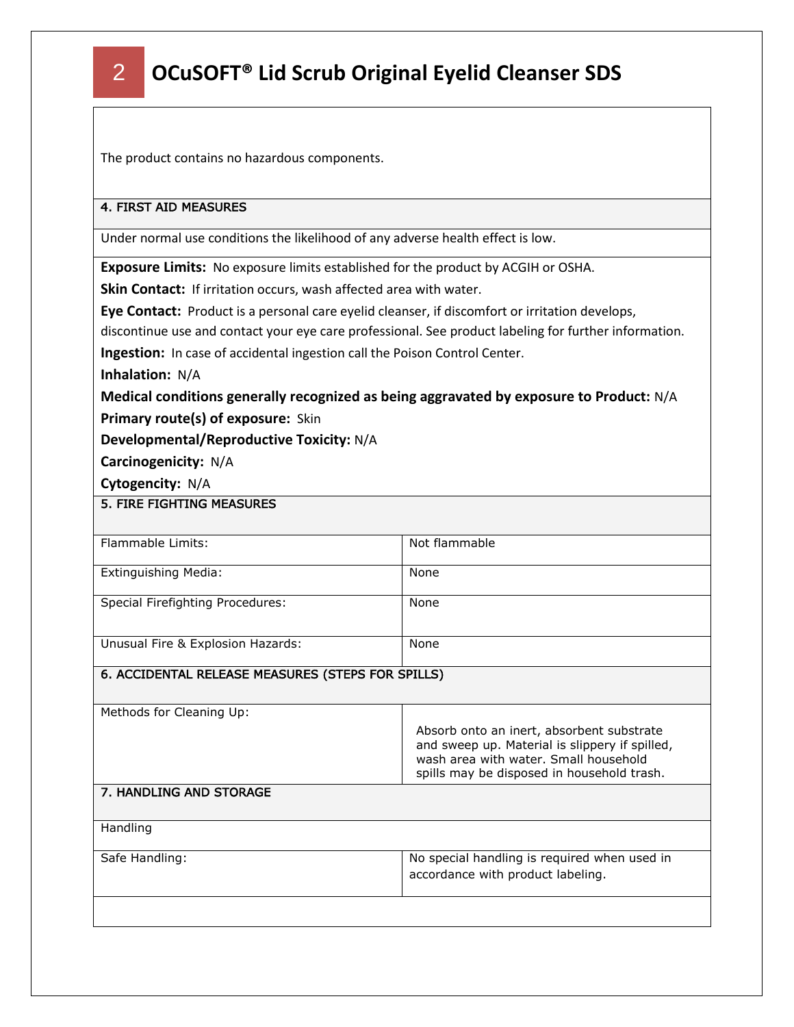The product contains no hazardous components.

#### 4. FIRST AID MEASURES

Under normal use conditions the likelihood of any adverse health effect is low.

**Exposure Limits:** No exposure limits established for the product by ACGIH or OSHA.

**Skin Contact:** If irritation occurs, wash affected area with water.

**Eye Contact:** Product is a personal care eyelid cleanser, if discomfort or irritation develops,

discontinue use and contact your eye care professional. See product labeling for further information.

**Ingestion:** In case of accidental ingestion call the Poison Control Center.

**Inhalation:** N/A

**Medical conditions generally recognized as being aggravated by exposure to Product:** N/A **Primary route(s) of exposure:** Skin

**Developmental/Reproductive Toxicity:** N/A

**Carcinogenicity:** N/A

**Cytogencity:** N/A

5. FIRE FIGHTING MEASURES

| Flammable Limits:                                 | Not flammable                                                                                                                                                                      |  |
|---------------------------------------------------|------------------------------------------------------------------------------------------------------------------------------------------------------------------------------------|--|
| Extinguishing Media:                              | None                                                                                                                                                                               |  |
| <b>Special Firefighting Procedures:</b>           | None                                                                                                                                                                               |  |
| Unusual Fire & Explosion Hazards:                 | None                                                                                                                                                                               |  |
| 6. ACCIDENTAL RELEASE MEASURES (STEPS FOR SPILLS) |                                                                                                                                                                                    |  |
| Methods for Cleaning Up:                          |                                                                                                                                                                                    |  |
|                                                   | Absorb onto an inert, absorbent substrate<br>and sweep up. Material is slippery if spilled,<br>wash area with water. Small household<br>spills may be disposed in household trash. |  |
| 7. HANDLING AND STORAGE                           |                                                                                                                                                                                    |  |
| Handling                                          |                                                                                                                                                                                    |  |
| Safe Handling:                                    | No special handling is required when used in                                                                                                                                       |  |
|                                                   | accordance with product labeling.                                                                                                                                                  |  |
|                                                   |                                                                                                                                                                                    |  |
|                                                   |                                                                                                                                                                                    |  |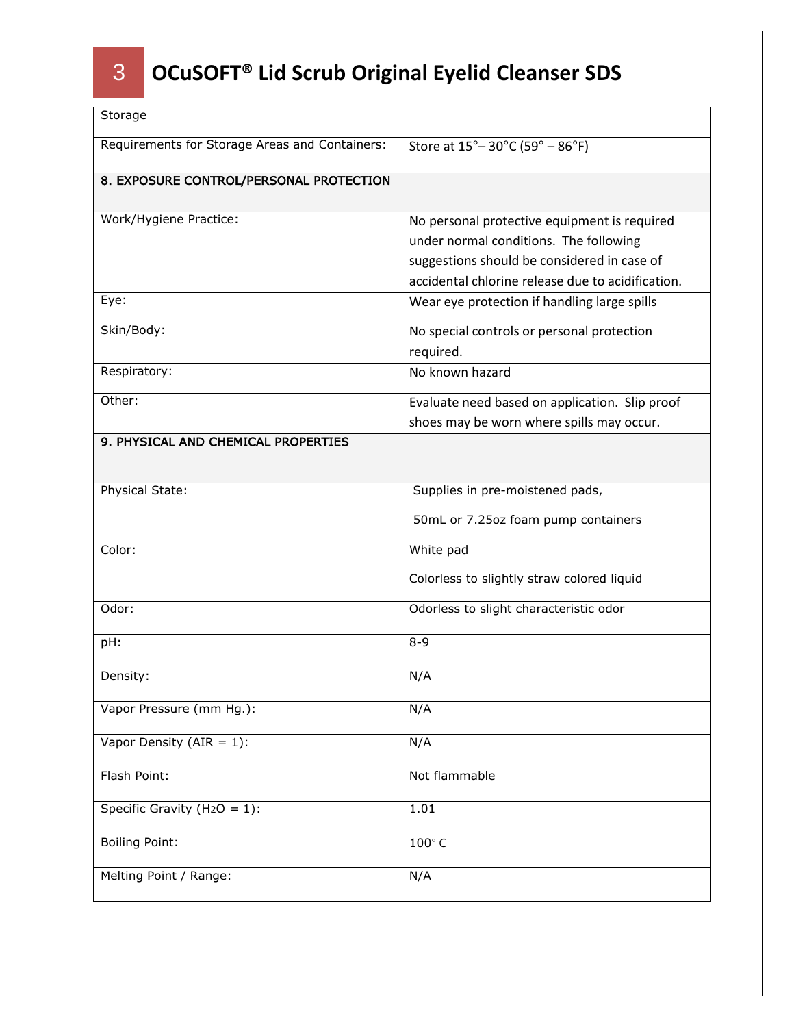| Storage                                        |                                                                                                                                                                                            |  |
|------------------------------------------------|--------------------------------------------------------------------------------------------------------------------------------------------------------------------------------------------|--|
| Requirements for Storage Areas and Containers: | Store at 15° - 30°C (59° - 86°F)                                                                                                                                                           |  |
| 8. EXPOSURE CONTROL/PERSONAL PROTECTION        |                                                                                                                                                                                            |  |
| Work/Hygiene Practice:                         | No personal protective equipment is required<br>under normal conditions. The following<br>suggestions should be considered in case of<br>accidental chlorine release due to acidification. |  |
| Eye:                                           | Wear eye protection if handling large spills                                                                                                                                               |  |
| Skin/Body:                                     | No special controls or personal protection<br>required.                                                                                                                                    |  |
| Respiratory:                                   | No known hazard                                                                                                                                                                            |  |
| Other:                                         | Evaluate need based on application. Slip proof<br>shoes may be worn where spills may occur.                                                                                                |  |
| 9. PHYSICAL AND CHEMICAL PROPERTIES            |                                                                                                                                                                                            |  |
| Physical State:                                | Supplies in pre-moistened pads,<br>50mL or 7.25oz foam pump containers                                                                                                                     |  |
| Color:                                         | White pad<br>Colorless to slightly straw colored liquid                                                                                                                                    |  |
| Odor:                                          | Odorless to slight characteristic odor                                                                                                                                                     |  |
| pH:                                            | $8 - 9$                                                                                                                                                                                    |  |
| Density:                                       | N/A                                                                                                                                                                                        |  |
| Vapor Pressure (mm Hg.):                       | N/A                                                                                                                                                                                        |  |
| Vapor Density (AIR = $1$ ):                    | N/A                                                                                                                                                                                        |  |
| Flash Point:                                   | Not flammable                                                                                                                                                                              |  |
| Specific Gravity (H <sub>2</sub> O = 1):       | 1.01                                                                                                                                                                                       |  |
| <b>Boiling Point:</b>                          | 100°C                                                                                                                                                                                      |  |
| Melting Point / Range:                         | N/A                                                                                                                                                                                        |  |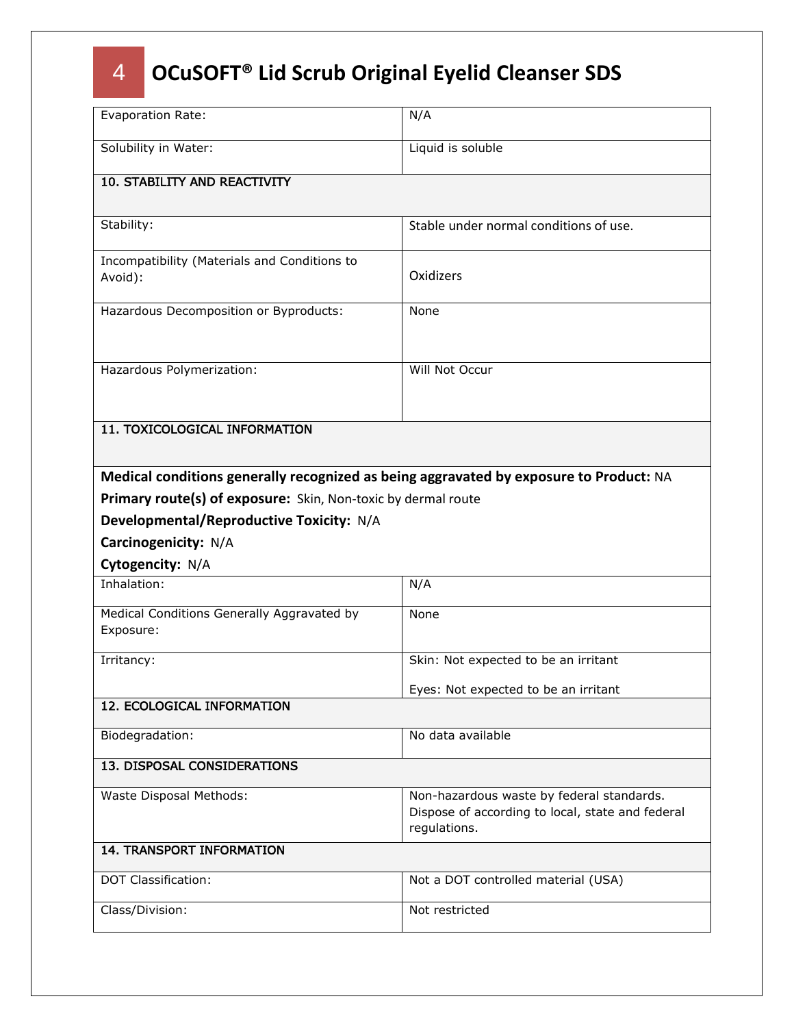| Evaporation Rate:                                                                      | N/A                                                                                                           |  |
|----------------------------------------------------------------------------------------|---------------------------------------------------------------------------------------------------------------|--|
| Solubility in Water:                                                                   | Liquid is soluble                                                                                             |  |
| <b>10. STABILITY AND REACTIVITY</b>                                                    |                                                                                                               |  |
| Stability:                                                                             | Stable under normal conditions of use.                                                                        |  |
| Incompatibility (Materials and Conditions to<br>Avoid):                                | Oxidizers                                                                                                     |  |
| Hazardous Decomposition or Byproducts:                                                 | None                                                                                                          |  |
| Hazardous Polymerization:                                                              | Will Not Occur                                                                                                |  |
| 11. TOXICOLOGICAL INFORMATION                                                          |                                                                                                               |  |
| Medical conditions generally recognized as being aggravated by exposure to Product: NA |                                                                                                               |  |
| Primary route(s) of exposure: Skin, Non-toxic by dermal route                          |                                                                                                               |  |
| Developmental/Reproductive Toxicity: N/A                                               |                                                                                                               |  |
| Carcinogenicity: N/A                                                                   |                                                                                                               |  |
| Cytogencity: N/A                                                                       |                                                                                                               |  |
| Inhalation:                                                                            | N/A                                                                                                           |  |
| Medical Conditions Generally Aggravated by<br>Exposure:                                | None                                                                                                          |  |
| Irritancy:                                                                             | Skin: Not expected to be an irritant                                                                          |  |
|                                                                                        | Eyes: Not expected to be an irritant                                                                          |  |
| 12. ECOLOGICAL INFORMATION                                                             |                                                                                                               |  |
| Biodegradation:                                                                        | No data available                                                                                             |  |
| 13. DISPOSAL CONSIDERATIONS                                                            |                                                                                                               |  |
| Waste Disposal Methods:                                                                | Non-hazardous waste by federal standards.<br>Dispose of according to local, state and federal<br>regulations. |  |
| <b>14. TRANSPORT INFORMATION</b>                                                       |                                                                                                               |  |
| <b>DOT Classification:</b>                                                             | Not a DOT controlled material (USA)                                                                           |  |
|                                                                                        |                                                                                                               |  |